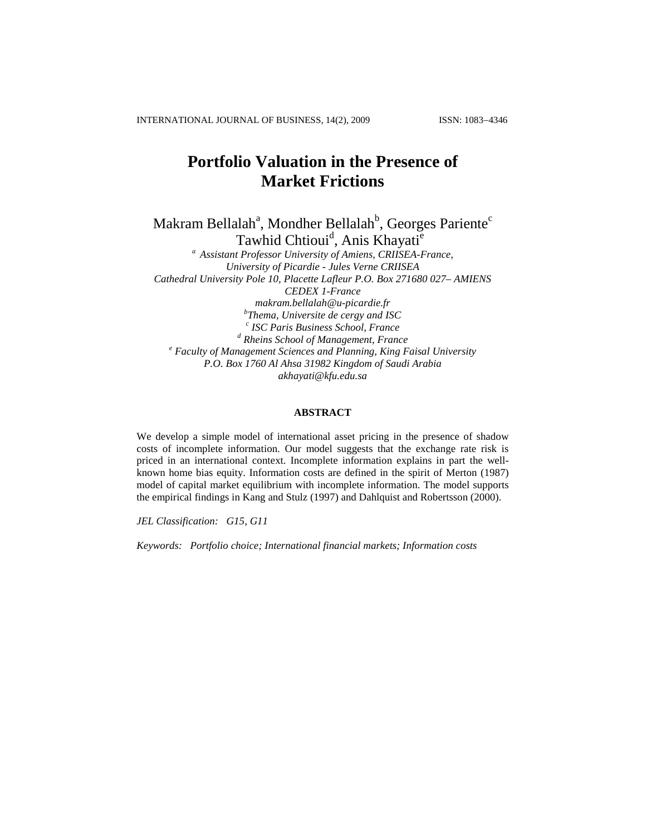INTERNATIONAL JOURNAL OF BUSINESS, 14(2), 2009 ISSN: 1083-4346

# **Portfolio Valuation in the Presence of Market Frictions**

Makram Bellalah<sup>a</sup>, Mondher Bellalah<sup>b</sup>, Georges Pariente<sup>c</sup> Tawhid Chtioui<sup>d</sup>, Anis Khayati<sup>e</sup>

*<sup>a</sup> Assistant Professor University of Amiens, CRIISEA-France, University of Picardie - Jules Verne CRIISEA Cathedral University Pole 10, Placette Lafleur P.O. Box 271680 027– AMIENS CEDEX 1-France [makram.bellalah@u-picardie.fr](mailto:makram.bellalah@u-picardie.fr) b Thema, Universite de cergy and ISC c ISC Paris Business School, France <sup>d</sup> Rheins School of Management, France <sup>e</sup> Faculty of Management Sciences and Planning, King Faisal University P.O. Box 1760 Al Ahsa 31982 Kingdom of Saudi Arabia akhayati@kfu.edu.sa*

## **ABSTRACT**

We develop a simple model of international asset pricing in the presence of shadow costs of incomplete information. Our model suggests that the exchange rate risk is priced in an international context. Incomplete information explains in part the wellknown home bias equity. Information costs are defined in the spirit of Merton (1987) model of capital market equilibrium with incomplete information. The model supports the empirical findings in Kang and Stulz (1997) and Dahlquist and Robertsson (2000).

*JEL Classification: G15, G11*

*Keywords: Portfolio choice; International financial markets; Information costs*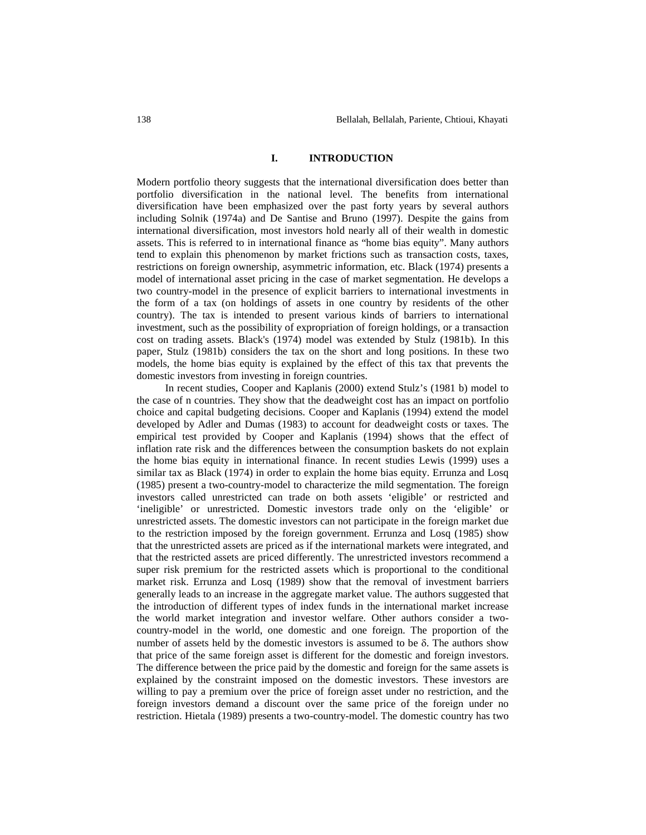#### **I. INTRODUCTION**

Modern portfolio theory suggests that the international diversification does better than portfolio diversification in the national level. The benefits from international diversification have been emphasized over the past forty years by several authors including Solnik (1974a) and De Santise and Bruno (1997). Despite the gains from international diversification, most investors hold nearly all of their wealth in domestic assets. This is referred to in international finance as "home bias equity". Many authors tend to explain this phenomenon by market frictions such as transaction costs, taxes, restrictions on foreign ownership, asymmetric information, etc. Black (1974) presents a model of international asset pricing in the case of market segmentation. He develops a two country-model in the presence of explicit barriers to international investments in the form of a tax (on holdings of assets in one country by residents of the other country). The tax is intended to present various kinds of barriers to international investment, such as the possibility of expropriation of foreign holdings, or a transaction cost on trading assets. Black's (1974) model was extended by Stulz (1981b). In this paper, Stulz (1981b) considers the tax on the short and long positions. In these two models, the home bias equity is explained by the effect of this tax that prevents the domestic investors from investing in foreign countries.

In recent studies, Cooper and Kaplanis (2000) extend Stulz's (1981 b) model to the case of n countries. They show that the deadweight cost has an impact on portfolio choice and capital budgeting decisions. Cooper and Kaplanis (1994) extend the model developed by Adler and Dumas (1983) to account for deadweight costs or taxes. The empirical test provided by Cooper and Kaplanis (1994) shows that the effect of inflation rate risk and the differences between the consumption baskets do not explain the home bias equity in international finance. In recent studies Lewis (1999) uses a similar tax as Black (1974) in order to explain the home bias equity. Errunza and Losq (1985) present a two-country-model to characterize the mild segmentation. The foreign investors called unrestricted can trade on both assets 'eligible' or restricted and 'ineligible' or unrestricted. Domestic investors trade only on the 'eligible' or unrestricted assets. The domestic investors can not participate in the foreign market due to the restriction imposed by the foreign government. Errunza and Losq (1985) show that the unrestricted assets are priced as if the international markets were integrated, and that the restricted assets are priced differently. The unrestricted investors recommend a super risk premium for the restricted assets which is proportional to the conditional market risk. Errunza and Losq (1989) show that the removal of investment barriers generally leads to an increase in the aggregate market value. The authors suggested that the introduction of different types of index funds in the international market increase the world market integration and investor welfare. Other authors consider a twocountry-model in the world, one domestic and one foreign. The proportion of the number of assets held by the domestic investors is assumed to be  $\delta$ . The authors show that price of the same foreign asset is different for the domestic and foreign investors. The difference between the price paid by the domestic and foreign for the same assets is explained by the constraint imposed on the domestic investors. These investors are willing to pay a premium over the price of foreign asset under no restriction, and the foreign investors demand a discount over the same price of the foreign under no restriction. Hietala (1989) presents a two-country-model. The domestic country has two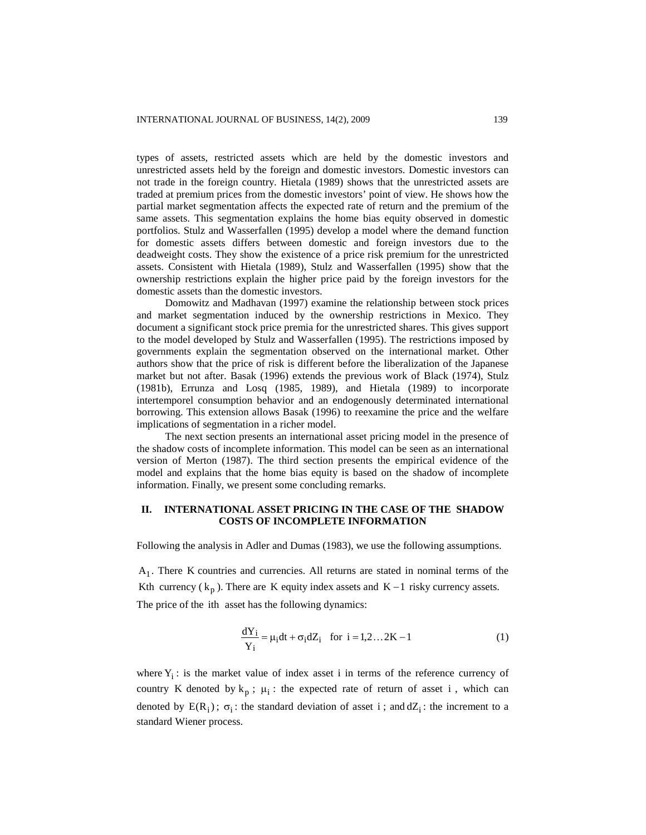types of assets, restricted assets which are held by the domestic investors and unrestricted assets held by the foreign and domestic investors. Domestic investors can not trade in the foreign country. Hietala (1989) shows that the unrestricted assets are traded at premium prices from the domestic investors' point of view. He shows how the partial market segmentation affects the expected rate of return and the premium of the same assets. This segmentation explains the home bias equity observed in domestic portfolios. Stulz and Wasserfallen (1995) develop a model where the demand function for domestic assets differs between domestic and foreign investors due to the deadweight costs. They show the existence of a price risk premium for the unrestricted assets. Consistent with Hietala (1989), Stulz and Wasserfallen (1995) show that the ownership restrictions explain the higher price paid by the foreign investors for the domestic assets than the domestic investors.

Domowitz and Madhavan (1997) examine the relationship between stock prices and market segmentation induced by the ownership restrictions in Mexico. They document a significant stock price premia for the unrestricted shares. This gives support to the model developed by Stulz and Wasserfallen (1995). The restrictions imposed by governments explain the segmentation observed on the international market. Other authors show that the price of risk is different before the liberalization of the Japanese market but not after. Basak (1996) extends the previous work of Black (1974), Stulz (1981b), Errunza and Losq (1985, 1989), and Hietala (1989) to incorporate intertemporel consumption behavior and an endogenously determinated international borrowing. This extension allows Basak (1996) to reexamine the price and the welfare implications of segmentation in a richer model.

The next section presents an international asset pricing model in the presence of the shadow costs of incomplete information. This model can be seen as an international version of Merton (1987). The third section presents the empirical evidence of the model and explains that the home bias equity is based on the shadow of incomplete information. Finally, we present some concluding remarks.

### **II. INTERNATIONAL ASSET PRICING IN THE CASE OF THE SHADOW COSTS OF INCOMPLETE INFORMATION**

Following the analysis in Adler and Dumas (1983), we use the following assumptions.

A1 . There K countries and currencies. All returns are stated in nominal terms of the Kth currency  $(k_p)$ . There are K equity index assets and K – 1 risky currency assets. The price of the ith asset has the following dynamics:

$$
\frac{dY_i}{Y_i} = \mu_i dt + \sigma_i dZ_i \quad \text{for } i = 1, 2...2K - 1
$$
 (1)

where  $Y_i$ : is the market value of index asset i in terms of the reference currency of country K denoted by  $k_p$ ;  $\mu_i$ : the expected rate of return of asset i, which can denoted by  $E(R_i)$ ;  $\sigma_i$ : the standard deviation of asset i; and  $dZ_i$ : the increment to a standard Wiener process.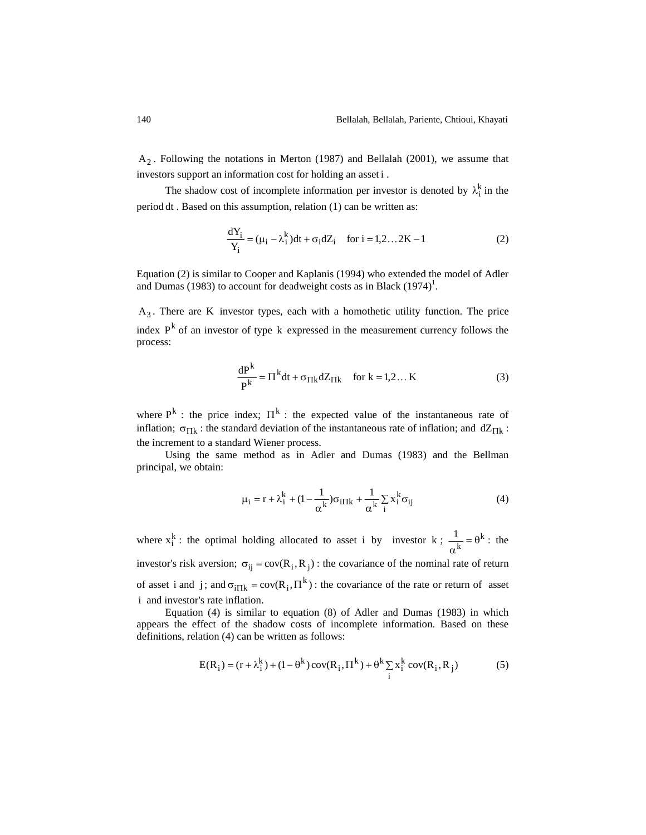$A_2$ . Following the notations in Merton (1987) and Bellalah (2001), we assume that investors support an information cost for holding an asset i .

The shadow cost of incomplete information per investor is denoted by  $\lambda_i^k$  in the period dt . Based on this assumption, relation (1) can be written as:

$$
\frac{dY_i}{Y_i} = (\mu_i - \lambda_i^k)dt + \sigma_i dZ_i \quad \text{for } i = 1, 2...2K - 1
$$
 (2)

Equation (2) is similar to Cooper and Kaplanis (1994) who extended the model of Adler and Dumas (1983) to account for deadweight costs as in Black  $(1974)^1$ .

A3 . There are K investor types, each with a homothetic utility function. The price index  $P^k$  of an investor of type k expressed in the measurement currency follows the process:

$$
\frac{dP^{k}}{P^{k}} = \Pi^{k} dt + \sigma_{\Pi k} dZ_{\Pi k} \quad \text{for } k = 1, 2... K
$$
 (3)

where  $P^k$ : the price index;  $\Pi^k$ : the expected value of the instantaneous rate of inflation;  $\sigma_{\Pi k}$ : the standard deviation of the instantaneous rate of inflation; and  $dZ_{\Pi k}$ : the increment to a standard Wiener process.

Using the same method as in Adler and Dumas (1983) and the Bellman principal, we obtain:

$$
\mu_{i} = r + \lambda_{i}^{k} + (1 - \frac{1}{\alpha^{k}})\sigma_{i\Pi k} + \frac{1}{\alpha^{k}}\sum_{i} x_{i}^{k}\sigma_{ij}
$$
(4)

where  $x_i^k$ : the optimal holding allocated to asset i by investor k;  $\frac{1}{k} = \theta^k$ k  $\frac{1}{1} = \theta$  $\alpha$ : the investor's risk aversion;  $\sigma_{ij} = cov(R_i, R_j)$ : the covariance of the nominal rate of return of asset i and j; and  $\sigma_{i\prod k} = cov(R_i, \Pi^k)$ : the covariance of the rate or return of asset i and investor's rate inflation.

Equation (4) is similar to equation (8) of Adler and Dumas (1983) in which appears the effect of the shadow costs of incomplete information. Based on these definitions, relation (4) can be written as follows:

$$
E(R_i) = (r + \lambda_i^k) + (1 - \theta^k) cov(R_i, \Pi^k) + \theta^k \sum_i x_i^k cov(R_i, R_j)
$$
 (5)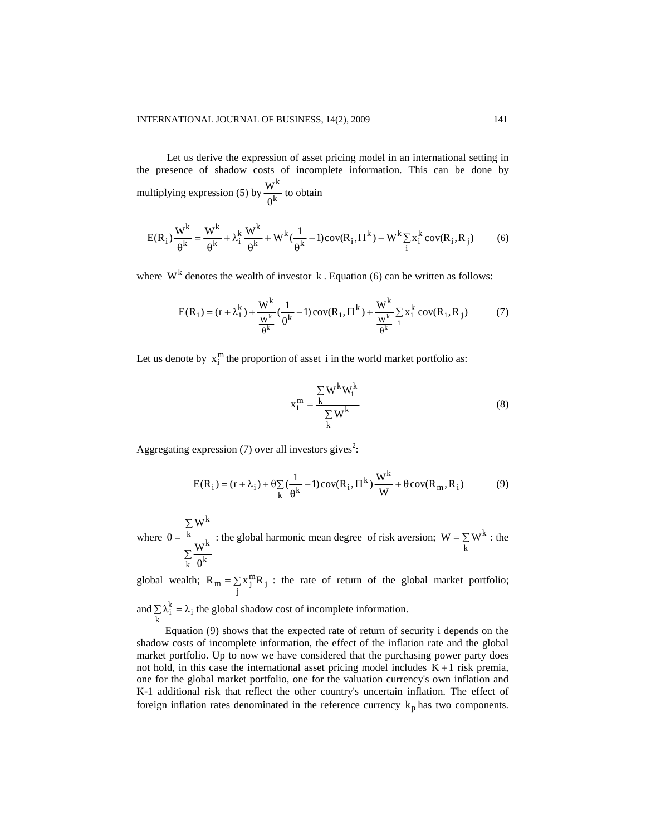Let us derive the expression of asset pricing model in an international setting in the presence of shadow costs of incomplete information. This can be done by multiplying expression (5) by  $\frac{W}{\rho k}$  $\mathrm{W}^{\mathrm{k}}$  $\theta$ to obtain

$$
E(R_i)\frac{W^k}{\theta^k} = \frac{W^k}{\theta^k} + \lambda_i^k \frac{W^k}{\theta^k} + W^k(\frac{1}{\theta^k} - 1)cov(R_i, \Pi^k) + W^k \sum_{i} x_i^k cov(R_i, R_j)
$$
 (6)

where  $W^k$  denotes the wealth of investor k. Equation (6) can be written as follows:

$$
E(R_i) = (r + \lambda_i^k) + \frac{W^k}{\frac{W^k}{\theta^k}}(\frac{1}{\theta^k} - 1)\text{cov}(R_i, \Pi^k) + \frac{W^k}{\frac{W^k}{\theta^k}}\sum_{i=1}^{N} x_i^k \text{cov}(R_i, R_j)
$$
(7)

Let us denote by  $x_i^m$  the proportion of asset i in the world market portfolio as:

$$
x_i^m = \frac{\sum_{k} W^k W_i^k}{\sum_{k} W^k}
$$
 (8)

Aggregating expression  $(7)$  over all investors gives<sup>2</sup>:

$$
E(R_i) = (r + \lambda_i) + \theta \sum_{k} \left(\frac{1}{\theta^k} - 1\right) cov(R_i, \Pi^k) \frac{W^k}{W} + \theta cov(R_m, R_i)
$$
(9)

where Σ  $\theta$ Σ  $\theta =$  $k \theta^k$ k k k W W : the global harmonic mean degree of risk aversion;  $W = \sum$ k  $W = \sum W^k$  : the

global wealth;  $R_m = \sum$  $R_m = \sum_j x_j^m R_j$  : the rate of return of the global market portfolio;

and  $\sum \lambda_i^{k} = \lambda$  $\sum_{k} \lambda_i^k = \lambda_i$  the global shadow cost of incomplete information.

Equation (9) shows that the expected rate of return of security i depends on the shadow costs of incomplete information, the effect of the inflation rate and the global market portfolio. Up to now we have considered that the purchasing power party does not hold, in this case the international asset pricing model includes  $K + 1$  risk premia, one for the global market portfolio, one for the valuation currency's own inflation and K-1 additional risk that reflect the other country's uncertain inflation. The effect of foreign inflation rates denominated in the reference currency  $k_p$  has two components.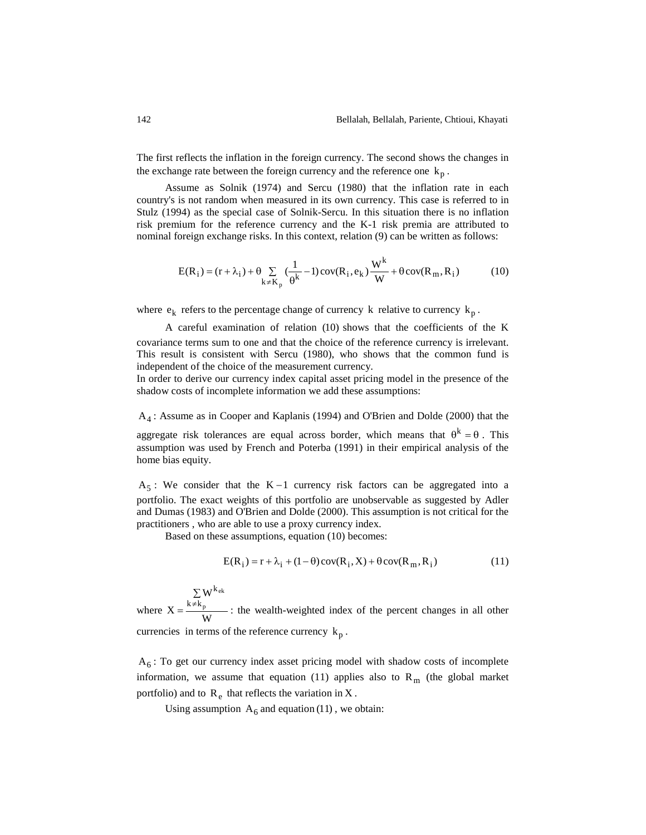The first reflects the inflation in the foreign currency. The second shows the changes in the exchange rate between the foreign currency and the reference one  $k_p$ .

Assume as Solnik (1974) and Sercu (1980) that the inflation rate in each country's is not random when measured in its own currency. This case is referred to in Stulz (1994) as the special case of Solnik-Sercu. In this situation there is no inflation risk premium for the reference currency and the K-1 risk premia are attributed to nominal foreign exchange risks. In this context, relation (9) can be written as follows:

$$
E(R_i) = (r + \lambda_i) + \theta \sum_{k \neq K_p} \left(\frac{1}{\theta^k} - 1\right) cov(R_i, e_k) \frac{W^k}{W} + \theta cov(R_m, R_i)
$$
(10)

where  $e_k$  refers to the percentage change of currency k relative to currency  $k_p$ .

A careful examination of relation (10) shows that the coefficients of the K covariance terms sum to one and that the choice of the reference currency is irrelevant. This result is consistent with Sercu (1980), who shows that the common fund is independent of the choice of the measurement currency.

In order to derive our currency index capital asset pricing model in the presence of the shadow costs of incomplete information we add these assumptions:

A4 : Assume as in Cooper and Kaplanis (1994) and O'Brien and Dolde (2000) that the

aggregate risk tolerances are equal across border, which means that  $\theta^{k} = \theta$ . This assumption was used by French and Poterba (1991) in their empirical analysis of the home bias equity.

 $A_5$ : We consider that the K-1 currency risk factors can be aggregated into a portfolio. The exact weights of this portfolio are unobservable as suggested by Adler and Dumas (1983) and O'Brien and Dolde (2000). This assumption is not critical for the practitioners , who are able to use a proxy currency index.

Based on these assumptions, equation (10) becomes:

$$
E(R_i) = r + \lambda_i + (1 - \theta)\text{cov}(R_i, X) + \theta\text{cov}(R_m, R_i)
$$
\n(11)

where  $X = \frac{R/R_p}{W}$ W  $X = \frac{K \neq K_p}{L}$ ek  $k \neq k$  $\Sigma$  W $^{\rm k}$  $=\frac{k \neq k_p}{m}$ : the wealth-weighted index of the percent changes in all other currencies in terms of the reference currency  $k_p$ .

 $A_6$ : To get our currency index asset pricing model with shadow costs of incomplete information, we assume that equation (11) applies also to  $R_m$  (the global market portfolio) and to  $R_e$  that reflects the variation in X.

Using assumption  $A_6$  and equation (11), we obtain: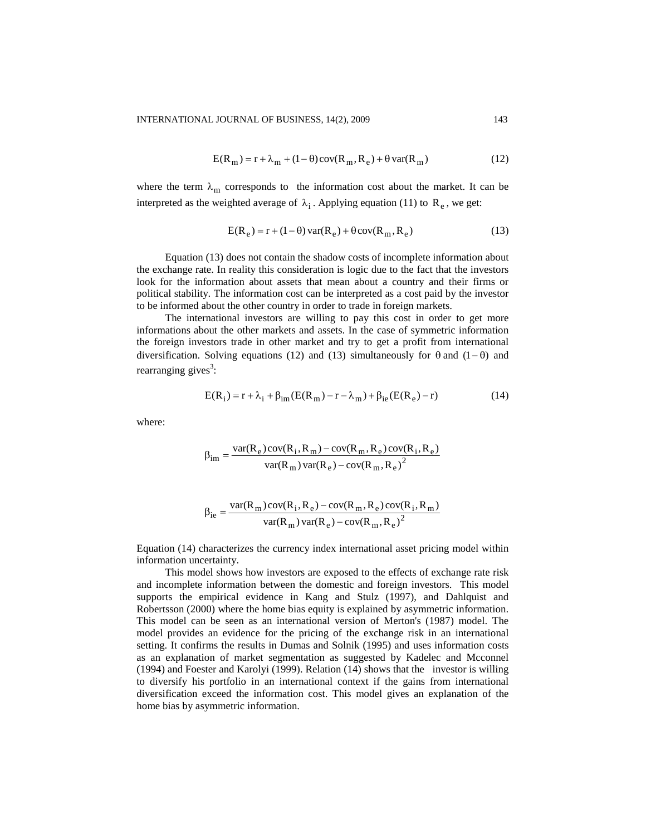$$
E(R_m) = r + \lambda_m + (1 - \theta)\operatorname{cov}(R_m, R_e) + \theta \operatorname{var}(R_m)
$$
\n(12)

where the term  $\lambda_m$  corresponds to the information cost about the market. It can be interpreted as the weighted average of  $\lambda_i$ . Applying equation (11) to  $R_e$ , we get:

$$
E(R_e) = r + (1 - \theta) var(R_e) + \theta cov(R_m, R_e)
$$
\n(13)

Equation (13) does not contain the shadow costs of incomplete information about the exchange rate. In reality this consideration is logic due to the fact that the investors look for the information about assets that mean about a country and their firms or political stability. The information cost can be interpreted as a cost paid by the investor to be informed about the other country in order to trade in foreign markets.

The international investors are willing to pay this cost in order to get more informations about the other markets and assets. In the case of symmetric information the foreign investors trade in other market and try to get a profit from international diversification. Solving equations (12) and (13) simultaneously for  $\theta$  and (1- $\theta$ ) and rearranging gives<sup>3</sup>:

$$
E(R_i) = r + \lambda_i + \beta_{im} (E(R_m) - r - \lambda_m) + \beta_{ie} (E(R_e) - r)
$$
 (14)

where:

$$
\beta_{im} = \frac{var(R_e)cov(R_i, R_m) - cov(R_m, R_e)cov(R_i, R_e)}{var(R_m)var(R_e) - cov(R_m, R_e)^2}
$$

$$
\beta_{ie} = \frac{\text{var}(R_m)\text{cov}(R_i, R_e) - \text{cov}(R_m, R_e)\text{cov}(R_i, R_m)}{\text{var}(R_m)\text{var}(R_e) - \text{cov}(R_m, R_e)^2}
$$

Equation (14) characterizes the currency index international asset pricing model within information uncertainty.

This model shows how investors are exposed to the effects of exchange rate risk and incomplete information between the domestic and foreign investors. This model supports the empirical evidence in Kang and Stulz (1997), and Dahlquist and Robertsson (2000) where the home bias equity is explained by asymmetric information. This model can be seen as an international version of Merton's (1987) model. The model provides an evidence for the pricing of the exchange risk in an international setting. It confirms the results in Dumas and Solnik (1995) and uses information costs as an explanation of market segmentation as suggested by Kadelec and Mcconnel (1994) and Foester and Karolyi (1999). Relation (14) shows that the investor is willing to diversify his portfolio in an international context if the gains from international diversification exceed the information cost. This model gives an explanation of the home bias by asymmetric information.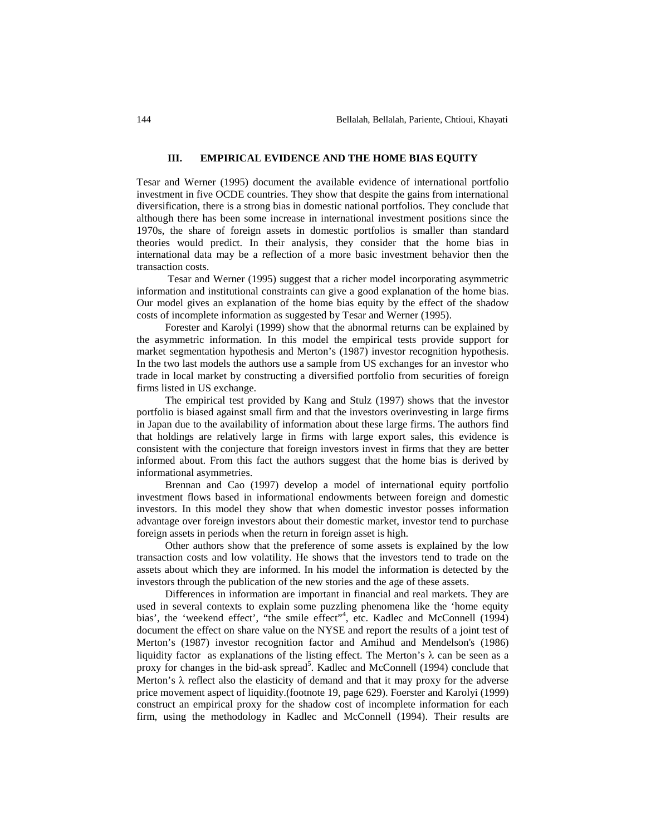#### **III. EMPIRICAL EVIDENCE AND THE HOME BIAS EQUITY**

Tesar and Werner (1995) document the available evidence of international portfolio investment in five OCDE countries. They show that despite the gains from international diversification, there is a strong bias in domestic national portfolios. They conclude that although there has been some increase in international investment positions since the 1970s, the share of foreign assets in domestic portfolios is smaller than standard theories would predict. In their analysis, they consider that the home bias in international data may be a reflection of a more basic investment behavior then the transaction costs.

Tesar and Werner (1995) suggest that a richer model incorporating asymmetric information and institutional constraints can give a good explanation of the home bias. Our model gives an explanation of the home bias equity by the effect of the shadow costs of incomplete information as suggested by Tesar and Werner (1995).

Forester and Karolyi (1999) show that the abnormal returns can be explained by the asymmetric information. In this model the empirical tests provide support for market segmentation hypothesis and Merton's (1987) investor recognition hypothesis. In the two last models the authors use a sample from US exchanges for an investor who trade in local market by constructing a diversified portfolio from securities of foreign firms listed in US exchange.

The empirical test provided by Kang and Stulz (1997) shows that the investor portfolio is biased against small firm and that the investors overinvesting in large firms in Japan due to the availability of information about these large firms. The authors find that holdings are relatively large in firms with large export sales, this evidence is consistent with the conjecture that foreign investors invest in firms that they are better informed about. From this fact the authors suggest that the home bias is derived by informational asymmetries.

Brennan and Cao (1997) develop a model of international equity portfolio investment flows based in informational endowments between foreign and domestic investors. In this model they show that when domestic investor posses information advantage over foreign investors about their domestic market, investor tend to purchase foreign assets in periods when the return in foreign asset is high.

Other authors show that the preference of some assets is explained by the low transaction costs and low volatility. He shows that the investors tend to trade on the assets about which they are informed. In his model the information is detected by the investors through the publication of the new stories and the age of these assets.

Differences in information are important in financial and real markets. They are used in several contexts to explain some puzzling phenomena like the 'home equity bias', the 'weekend effect', "the smile effect"<sup>4</sup>, etc. Kadlec and McConnell (1994) document the effect on share value on the NYSE and report the results of a joint test of Merton's (1987) investor recognition factor and Amihud and Mendelson's (1986) liquidity factor as explanations of the listing effect. The Merton's  $\lambda$  can be seen as a proxy for changes in the bid-ask spread<sup>5</sup>. Kadlec and McConnell (1994) conclude that Merton's  $\lambda$  reflect also the elasticity of demand and that it may proxy for the adverse price movement aspect of liquidity.(footnote 19, page 629). Foerster and Karolyi (1999) construct an empirical proxy for the shadow cost of incomplete information for each firm, using the methodology in Kadlec and McConnell (1994). Their results are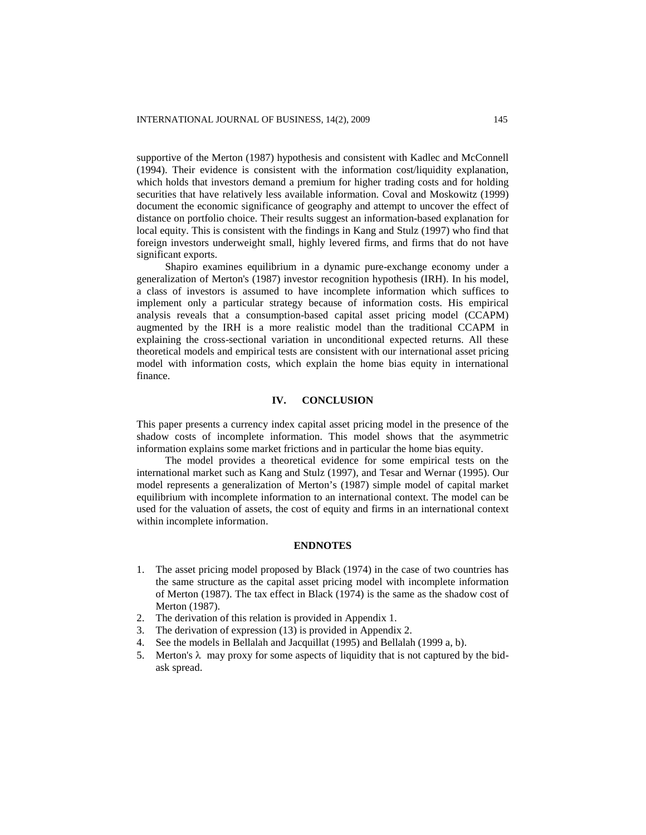supportive of the Merton (1987) hypothesis and consistent with Kadlec and McConnell (1994). Their evidence is consistent with the information cost/liquidity explanation, which holds that investors demand a premium for higher trading costs and for holding securities that have relatively less available information. Coval and Moskowitz (1999) document the economic significance of geography and attempt to uncover the effect of distance on portfolio choice. Their results suggest an information-based explanation for local equity. This is consistent with the findings in Kang and Stulz (1997) who find that foreign investors underweight small, highly levered firms, and firms that do not have significant exports.

Shapiro examines equilibrium in a dynamic pure-exchange economy under a generalization of Merton's (1987) investor recognition hypothesis (IRH). In his model, a class of investors is assumed to have incomplete information which suffices to implement only a particular strategy because of information costs. His empirical analysis reveals that a consumption-based capital asset pricing model (CCAPM) augmented by the IRH is a more realistic model than the traditional CCAPM in explaining the cross-sectional variation in unconditional expected returns. All these theoretical models and empirical tests are consistent with our international asset pricing model with information costs, which explain the home bias equity in international finance.

### **IV. CONCLUSION**

This paper presents a currency index capital asset pricing model in the presence of the shadow costs of incomplete information. This model shows that the asymmetric information explains some market frictions and in particular the home bias equity.

The model provides a theoretical evidence for some empirical tests on the international market such as Kang and Stulz (1997), and Tesar and Wernar (1995). Our model represents a generalization of Merton's (1987) simple model of capital market equilibrium with incomplete information to an international context. The model can be used for the valuation of assets, the cost of equity and firms in an international context within incomplete information.

#### **ENDNOTES**

- 1. The asset pricing model proposed by Black (1974) in the case of two countries has the same structure as the capital asset pricing model with incomplete information of Merton (1987). The tax effect in Black (1974) is the same as the shadow cost of Merton (1987).
- 2. The derivation of this relation is provided in Appendix 1.
- 3. The derivation of expression (13) is provided in Appendix 2.
- 4. See the models in Bellalah and Jacquillat (1995) and Bellalah (1999 a, b).
- 5. Merton's  $\lambda$  may proxy for some aspects of liquidity that is not captured by the bidask spread.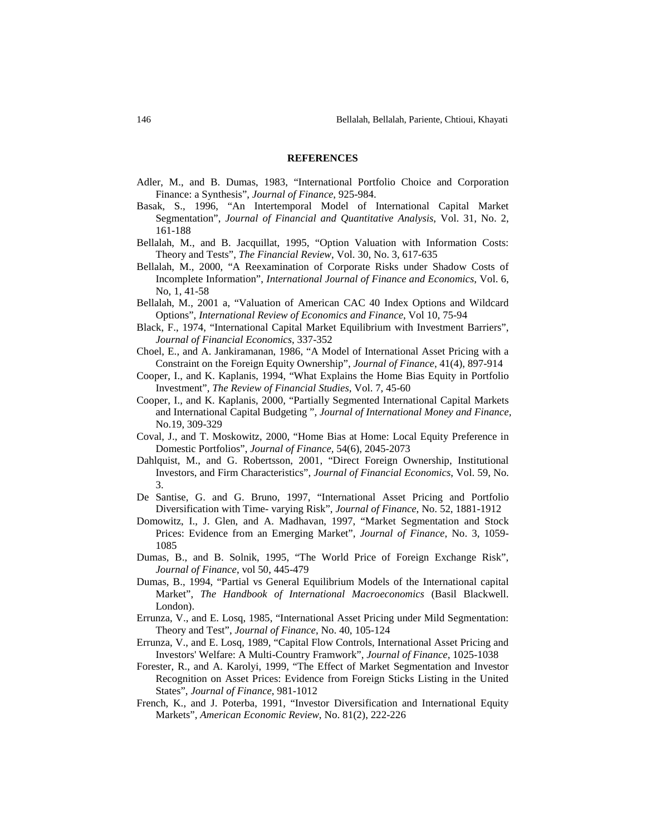#### **REFERENCES**

- Adler, M., and B. Dumas, 1983, "International Portfolio Choice and Corporation Finance: a Synthesis", *Journal of Finance*, 925-984.
- Basak, S., 1996, "An Intertemporal Model of International Capital Market Segmentation", *Journal of Financial and Quantitative Analysis*, Vol. 31, No. 2, 161-188
- Bellalah, M., and B. Jacquillat, 1995, "Option Valuation with Information Costs: Theory and Tests", *The Financial Review*, Vol. 30, No. 3, 617-635
- Bellalah, M., 2000, "A Reexamination of Corporate Risks under Shadow Costs of Incomplete Information", *International Journal of Finance and Economics*, Vol. 6, No, 1, 41-58
- Bellalah, M., 2001 a, "Valuation of American CAC 40 Index Options and Wildcard Options", *International Review of Economics and Finance*, Vol 10, 75-94
- Black, F., 1974, "International Capital Market Equilibrium with Investment Barriers", *Journal of Financial Economics*, 337-352
- Choel, E., and A. Jankiramanan, 1986, "A Model of International Asset Pricing with a Constraint on the Foreign Equity Ownership", *Journal of Finance*, 41(4), 897-914
- Cooper, I., and K. Kaplanis, 1994, "What Explains the Home Bias Equity in Portfolio Investment", *The Review of Financial Studies*, Vol. 7, 45-60
- Cooper, I., and K. Kaplanis, 2000, "Partially Segmented International Capital Markets and International Capital Budgeting ", *Journal of International Money and Finance,* No.19, 309-329
- Coval, J., and T. Moskowitz, 2000, "Home Bias at Home: Local Equity Preference in Domestic Portfolios", *Journal of Finance,* 54(6), 2045-2073
- Dahlquist, M., and G. Robertsson, 2001, "Direct Foreign Ownership, Institutional Investors, and Firm Characteristics", *Journal of Financial Economics*, Vol. 59, No. 3.
- De Santise, G. and G. Bruno, 1997, "International Asset Pricing and Portfolio Diversification with Time- varying Risk", *Journal of Finance*, No. 52, 1881-1912
- Domowitz, I., J. Glen, and A. Madhavan, 1997, "Market Segmentation and Stock Prices: Evidence from an Emerging Market", *Journal of Finance*, No. 3, 1059- 1085
- Dumas, B., and B. Solnik, 1995, "The World Price of Foreign Exchange Risk", *Journal of Finance*, vol 50, 445-479
- Dumas, B., 1994, "Partial vs General Equilibrium Models of the International capital Market", *The Handbook of International Macroeconomics* (Basil Blackwell. London).
- Errunza, V., and E. Losq, 1985, "International Asset Pricing under Mild Segmentation: Theory and Test", *Journal of Finance*, No. 40, 105-124
- Errunza, V., and E. Losq, 1989, "Capital Flow Controls, International Asset Pricing and Investors' Welfare: A Multi-Country Framwork", *Journal of Finance*, 1025-1038
- Forester, R., and A. Karolyi, 1999, "The Effect of Market Segmentation and Investor Recognition on Asset Prices: Evidence from Foreign Sticks Listing in the United States", *Journal of Finance*, 981-1012
- French, K., and J. Poterba, 1991, "Investor Diversification and International Equity Markets", *American Economic Review*, No. 81(2), 222-226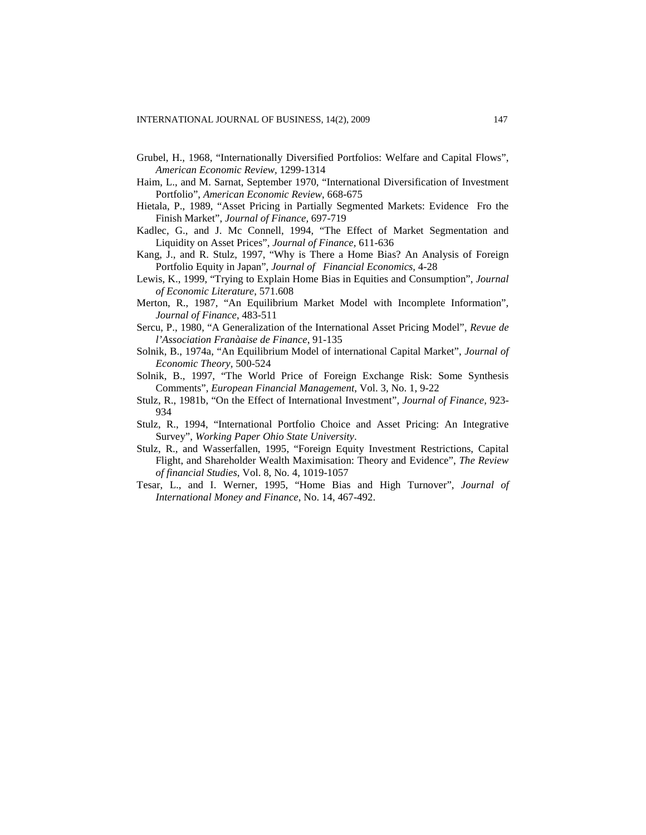- Grubel, H., 1968, "Internationally Diversified Portfolios: Welfare and Capital Flows", *American Economic Review,* 1299-1314
- Haim, L., and M. Sarnat, September 1970, "International Diversification of Investment Portfolio", *American Economic Review*, 668-675
- Hietala, P., 1989, "Asset Pricing in Partially Segmented Markets: Evidence Fro the Finish Market", *Journal of Finance,* 697-719
- Kadlec, G., and J. Mc Connell, 1994, "The Effect of Market Segmentation and Liquidity on Asset Prices", *Journal of Finance,* 611-636
- Kang, J., and R. Stulz, 1997, "Why is There a Home Bias? An Analysis of Foreign Portfolio Equity in Japan", *Journal of Financial Economics*, 4-28
- Lewis, K., 1999, "Trying to Explain Home Bias in Equities and Consumption", *Journal of Economic Literature*, 571.608
- Merton, R., 1987, "An Equilibrium Market Model with Incomplete Information", *Journal of Finance*, 483-511
- Sercu, P., 1980, "A Generalization of the International Asset Pricing Model", *Revue de l'Association Franàaise de Finance*, 91-135
- Solnik, B., 1974a, "An Equilibrium Model of international Capital Market", *Journal of Economic Theory,* 500-524
- Solnik, B., 1997, "The World Price of Foreign Exchange Risk: Some Synthesis Comments", *European Financial Management*, Vol. 3, No. 1, 9-22
- Stulz, R., 1981b, "On the Effect of International Investment", *Journal of Finance,* 923- 934
- Stulz, R., 1994, "International Portfolio Choice and Asset Pricing: An Integrative Survey", *Working Paper Ohio State University*.
- Stulz, R., and Wasserfallen, 1995, "Foreign Equity Investment Restrictions, Capital Flight, and Shareholder Wealth Maximisation: Theory and Evidence", *The Review of financial Studies*, Vol. 8, No. 4, 1019-1057
- Tesar, L., and I. Werner, 1995, "Home Bias and High Turnover", *Journal of International Money and Finance*, No. 14, 467-492.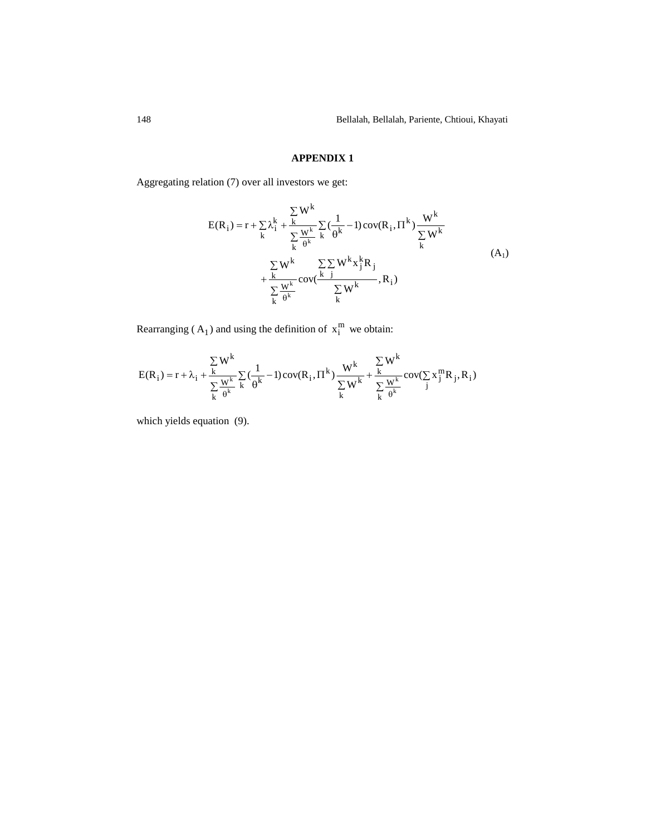# **APPENDIX 1**

Aggregating relation (7) over all investors we get:

$$
E(R_i) = r + \sum_{k} \lambda_i^k + \frac{\sum_{k} W^k}{\sum_{k} W^k} \sum_{k} (\frac{1}{\theta^k} - 1) cov(R_i, \Pi^k) \frac{W^k}{\sum_{k} W^k} + \frac{\sum_{k} W^k}{\sum_{k} W^k} cov(\frac{\sum_{j} W^k x_j^k R_j}{\sum_{k} W^k}, R_i)
$$
(A<sub>1</sub>)

Rearranging ( $A_1$ ) and using the definition of  $x_i^m$  we obtain:

$$
E(R_i) = r + \lambda_i + \frac{\sum_{k} W^k}{\sum_{k} \frac{W^k}{\theta^k}} \sum_{k} \left(\frac{1}{\theta^k} - 1\right) cov(R_i, \Pi^k) \frac{W^k}{\sum_{k} W^k} + \frac{\sum_{k} W^k}{\sum_{k} \frac{W^k}{\theta^k}} cov(\sum_{j} x_j^m R_j, R_i)
$$

which yields equation (9).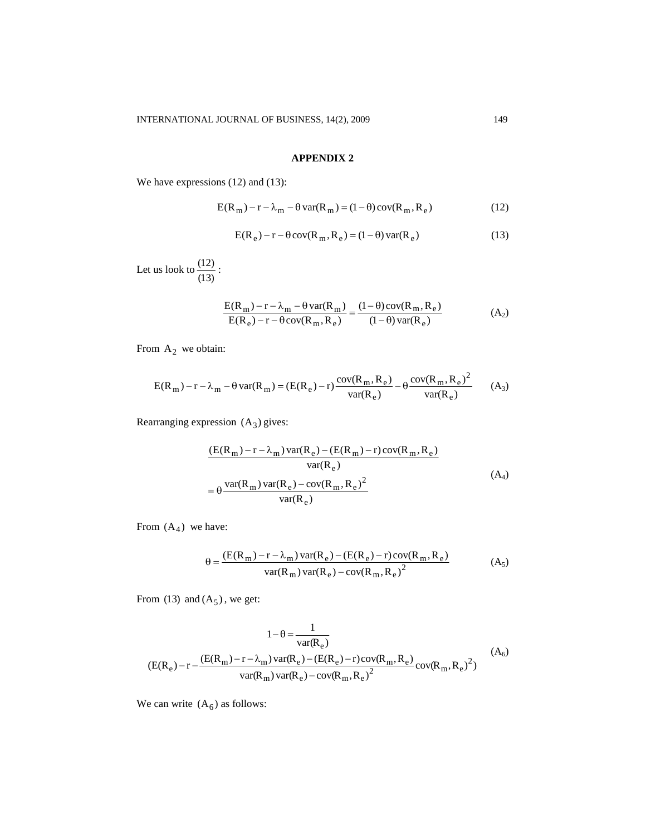## **APPENDIX 2**

We have expressions (12) and (13):

$$
E(R_m) - r - \lambda_m - \theta \operatorname{var}(R_m) = (1 - \theta) \operatorname{cov}(R_m, R_e)
$$
 (12)

$$
E(R_e) - r - \theta cov(R_m, R_e) = (1 - \theta) var(R_e)
$$
\n(13)

Let us look to  $\frac{(12)}{(13)}$  $\frac{(12)}{12}$ :

$$
\frac{E(R_m) - r - \lambda_m - \theta \operatorname{var}(R_m)}{E(R_e) - r - \theta \operatorname{cov}(R_m, R_e)} = \frac{(1 - \theta) \operatorname{cov}(R_m, R_e)}{(1 - \theta) \operatorname{var}(R_e)}\tag{A_2}
$$

From  $A_2$  we obtain:

$$
E(R_m) - r - \lambda_m - \theta \operatorname{var}(R_m) = (E(R_e) - r) \frac{\operatorname{cov}(R_m, R_e)}{\operatorname{var}(R_e)} - \theta \frac{\operatorname{cov}(R_m, R_e)^2}{\operatorname{var}(R_e)}
$$
(A<sub>3</sub>)

Rearranging expression  $(A_3)$  gives:

$$
\frac{(E(R_m) - r - \lambda_m) \operatorname{var}(R_e) - (E(R_m) - r) \operatorname{cov}(R_m, R_e)}{\operatorname{var}(R_e)}\n= \theta \frac{\operatorname{var}(R_m) \operatorname{var}(R_e) - \operatorname{cov}(R_m, R_e)^2}{\operatorname{var}(R_e)}\n\tag{A4}
$$

From  $(A_4)$  we have:

$$
\theta = \frac{(E(R_m) - r - \lambda_m) \operatorname{var}(R_e) - (E(R_e) - r) \operatorname{cov}(R_m, R_e)}{\operatorname{var}(R_m) \operatorname{var}(R_e) - \operatorname{cov}(R_m, R_e)^2}
$$
(A<sub>5</sub>)

From  $(13)$  and  $(A_5)$ , we get:

$$
1 - \theta = \frac{1}{var(R_e)}
$$
  
(E(R\_e) - r -  $\frac{(E(R_m) - r - \lambda_m)var(R_e) - (E(R_e) - r)cov(R_m, R_e)}{var(R_m)var(R_e) - cov(R_m, R_e)^2}$  (A<sub>6</sub>)  

$$
var(R_m)var(R_e) - cov(R_m, R_e)^2
$$

1

We can write  $(A<sub>6</sub>)$  as follows: